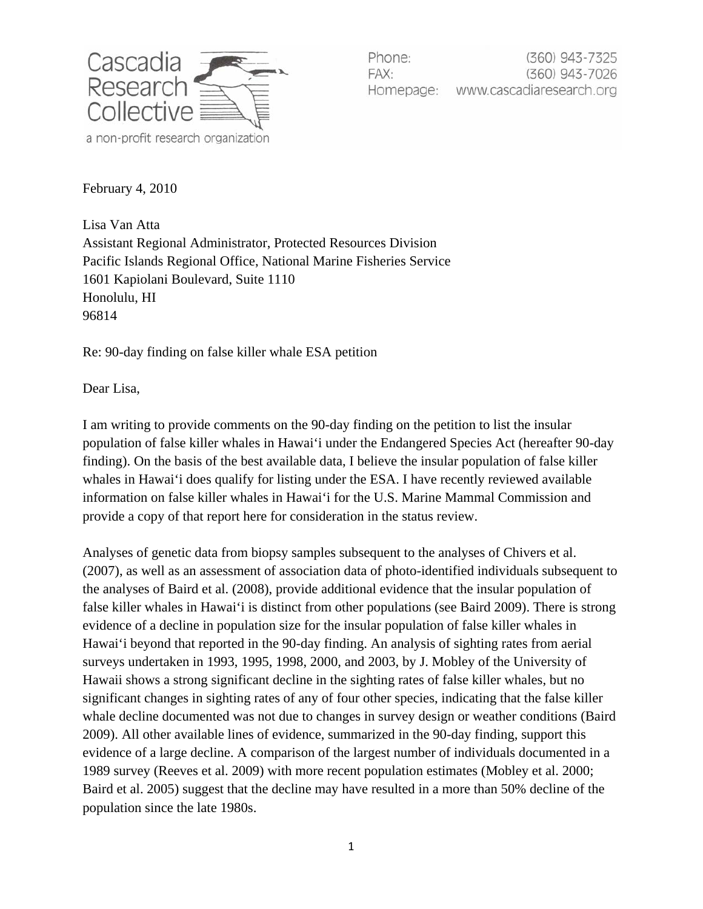

Phone: (360) 943-7325 FAX: (360) 943-7026 www.cascadiaresearch.org Homepage:

February 4, 2010

Lisa Van Atta Assistant Regional Administrator, Protected Resources Division Pacific Islands Regional Office, National Marine Fisheries Service 1601 Kapiolani Boulevard, Suite 1110 Honolulu, HI 96814

Re: 90-day finding on false killer whale ESA petition

Dear Lisa,

I am writing to provide comments on the 90-day finding on the petition to list the insular population of false killer whales in Hawai'i under the Endangered Species Act (hereafter 90-day finding). On the basis of the best available data, I believe the insular population of false killer whales in Hawai'i does qualify for listing under the ESA. I have recently reviewed available information on false killer whales in Hawai'i for the U.S. Marine Mammal Commission and provide a copy of that report here for consideration in the status review.

Analyses of genetic data from biopsy samples subsequent to the analyses of Chivers et al. (2007), as well as an assessment of association data of photo-identified individuals subsequent to the analyses of Baird et al. (2008), provide additional evidence that the insular population of false killer whales in Hawai'i is distinct from other populations (see Baird 2009). There is strong evidence of a decline in population size for the insular population of false killer whales in Hawai'i beyond that reported in the 90-day finding. An analysis of sighting rates from aerial surveys undertaken in 1993, 1995, 1998, 2000, and 2003, by J. Mobley of the University of Hawaii shows a strong significant decline in the sighting rates of false killer whales, but no significant changes in sighting rates of any of four other species, indicating that the false killer whale decline documented was not due to changes in survey design or weather conditions (Baird 2009). All other available lines of evidence, summarized in the 90-day finding, support this evidence of a large decline. A comparison of the largest number of individuals documented in a 1989 survey (Reeves et al. 2009) with more recent population estimates (Mobley et al. 2000; Baird et al. 2005) suggest that the decline may have resulted in a more than 50% decline of the population since the late 1980s.